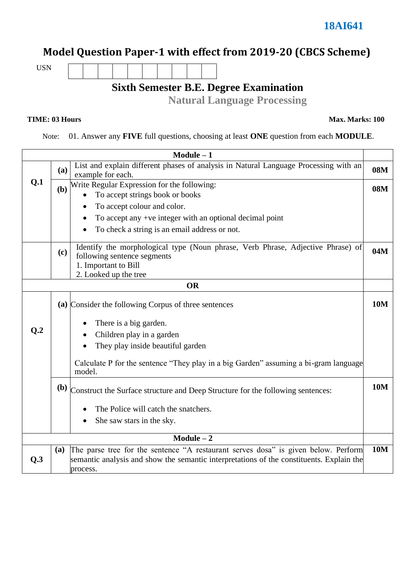# **Model Question Paper-1 with effect from 2019-20 (CBCS Scheme)**

USN

### **Sixth Semester B.E. Degree Examination**

**Natural Language Processing**

**TIME: 03 Hours Max. Marks: 100**

Note: 01. Answer any **FIVE** full questions, choosing at least **ONE** question from each **MODULE**.

|                                                          |                             | $Module - 1$                                                                                                                                                                               |            |  |  |  |  |
|----------------------------------------------------------|-----------------------------|--------------------------------------------------------------------------------------------------------------------------------------------------------------------------------------------|------------|--|--|--|--|
|                                                          | (a)                         | List and explain different phases of analysis in Natural Language Processing with an<br><b>08M</b><br>example for each.                                                                    |            |  |  |  |  |
| Q.1                                                      |                             | ( <b>b</b> ) Write Regular Expression for the following:                                                                                                                                   | <b>08M</b> |  |  |  |  |
|                                                          |                             | To accept strings book or books                                                                                                                                                            |            |  |  |  |  |
|                                                          | To accept colour and color. |                                                                                                                                                                                            |            |  |  |  |  |
| To accept any +ve integer with an optional decimal point |                             |                                                                                                                                                                                            |            |  |  |  |  |
|                                                          |                             | To check a string is an email address or not.                                                                                                                                              |            |  |  |  |  |
|                                                          | (c)                         | Identify the morphological type (Noun phrase, Verb Phrase, Adjective Phrase) of<br>following sentence segments<br>1. Important to Bill<br>2. Looked up the tree                            | 04M        |  |  |  |  |
|                                                          |                             | <b>OR</b>                                                                                                                                                                                  |            |  |  |  |  |
|                                                          |                             | (a) Consider the following Corpus of three sentences                                                                                                                                       | <b>10M</b> |  |  |  |  |
|                                                          |                             | There is a big garden.                                                                                                                                                                     |            |  |  |  |  |
| Q <sub>.2</sub>                                          |                             | Children play in a garden                                                                                                                                                                  |            |  |  |  |  |
|                                                          |                             | They play inside beautiful garden                                                                                                                                                          |            |  |  |  |  |
|                                                          |                             | Calculate P for the sentence "They play in a big Garden" assuming a bi-gram language<br>model.                                                                                             |            |  |  |  |  |
|                                                          |                             | (b) Construct the Surface structure and Deep Structure for the following sentences:                                                                                                        | <b>10M</b> |  |  |  |  |
|                                                          |                             | The Police will catch the snatchers.                                                                                                                                                       |            |  |  |  |  |
|                                                          |                             | She saw stars in the sky.                                                                                                                                                                  |            |  |  |  |  |
| $Module - 2$                                             |                             |                                                                                                                                                                                            |            |  |  |  |  |
| Q.3                                                      | (a)                         | The parse tree for the sentence "A restaurant serves dosa" is given below. Perform<br>semantic analysis and show the semantic interpretations of the constituents. Explain the<br>process. | <b>10M</b> |  |  |  |  |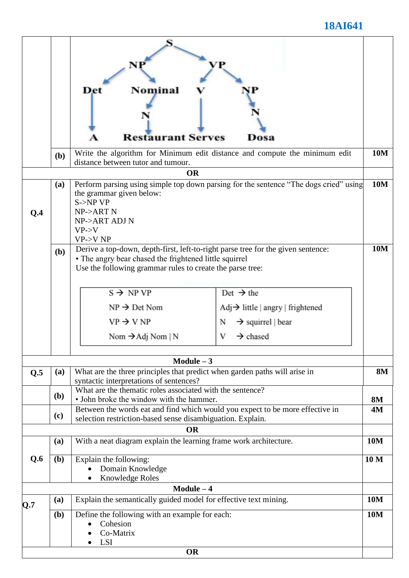## **18AI641**

|     |            | Nominal<br>Det<br><b>Restaurant Serves</b>                                                                                                                                                                                                                                                                                        | Dosa                                                                                                                                   |                 |
|-----|------------|-----------------------------------------------------------------------------------------------------------------------------------------------------------------------------------------------------------------------------------------------------------------------------------------------------------------------------------|----------------------------------------------------------------------------------------------------------------------------------------|-----------------|
|     | (b)        | Write the algorithm for Minimum edit distance and compute the minimum edit<br>distance between tutor and tumour.                                                                                                                                                                                                                  |                                                                                                                                        | <b>10M</b>      |
|     |            | <b>OR</b>                                                                                                                                                                                                                                                                                                                         |                                                                                                                                        |                 |
| Q.4 | (a)        | Perform parsing using simple top down parsing for the sentence "The dogs cried" using<br>the grammar given below:<br>$S\rightarrow NP VP$<br>NP->ART N<br>NP->ART ADJ N<br>$VP->V$<br>$VP->V NP$                                                                                                                                  |                                                                                                                                        | <b>10M</b>      |
|     | <b>(b)</b> | Derive a top-down, depth-first, left-to-right parse tree for the given sentence:<br>• The angry bear chased the frightened little squirrel<br>Use the following grammar rules to create the parse tree:<br>$S \rightarrow NP VP$<br>$NP \rightarrow Det N$ om<br>$VP \rightarrow V NP$<br>N<br>Nom $\rightarrow$ Adj Nom   N<br>V | Det $\rightarrow$ the<br>$\text{Adj} \rightarrow$ little   angry   frightened<br>$\rightarrow$ squirrel   bear<br>$\rightarrow$ chased | <b>10M</b>      |
|     |            | Module $-3$                                                                                                                                                                                                                                                                                                                       |                                                                                                                                        |                 |
| Q.5 | (a)        | What are the three principles that predict when garden paths will arise in<br>syntactic interpretations of sentences?                                                                                                                                                                                                             |                                                                                                                                        | <b>8M</b>       |
|     | (b)        | What are the thematic roles associated with the sentence?<br>• John broke the window with the hammer.                                                                                                                                                                                                                             |                                                                                                                                        | <b>8M</b>       |
|     | (c)        | Between the words eat and find which would you expect to be more effective in<br>selection restriction-based sense disambiguation. Explain.                                                                                                                                                                                       |                                                                                                                                        |                 |
|     |            | <b>OR</b>                                                                                                                                                                                                                                                                                                                         |                                                                                                                                        |                 |
|     | (a)        | With a neat diagram explain the learning frame work architecture.                                                                                                                                                                                                                                                                 |                                                                                                                                        |                 |
| Q.6 | (b)        | Explain the following:<br>Domain Knowledge<br><b>Knowledge Roles</b>                                                                                                                                                                                                                                                              |                                                                                                                                        | 10 <sub>M</sub> |
|     |            | $Module - 4$                                                                                                                                                                                                                                                                                                                      |                                                                                                                                        |                 |
| Q.7 | (a)        | Explain the semantically guided model for effective text mining.<br><b>10M</b>                                                                                                                                                                                                                                                    |                                                                                                                                        |                 |
|     | (b)        | Define the following with an example for each:<br>Cohesion<br>Co-Matrix<br><b>LSI</b><br><b>OR</b>                                                                                                                                                                                                                                |                                                                                                                                        | <b>10M</b>      |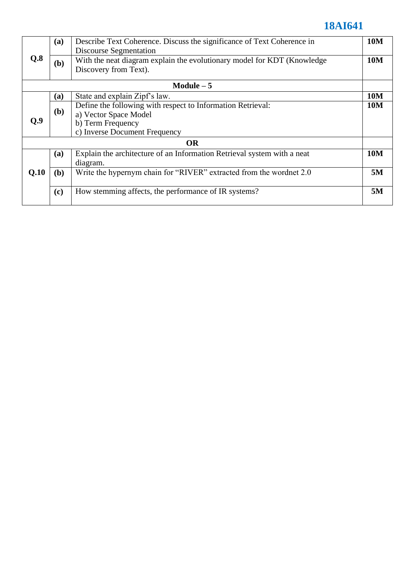## **18AI641**

| Q.8         | (a)          | Describe Text Coherence. Discuss the significance of Text Coherence in  |            |  |  |
|-------------|--------------|-------------------------------------------------------------------------|------------|--|--|
|             |              | <b>Discourse Segmentation</b>                                           |            |  |  |
|             | (b)          | With the neat diagram explain the evolutionary model for KDT (Knowledge | <b>10M</b> |  |  |
|             |              | Discovery from Text).                                                   |            |  |  |
| Module $-5$ |              |                                                                         |            |  |  |
|             | (a)          | State and explain Zipf's law.                                           | <b>10M</b> |  |  |
|             |              | Define the following with respect to Information Retrieval:             | <b>10M</b> |  |  |
|             | ( <b>b</b> ) | a) Vector Space Model                                                   |            |  |  |
| 0.9         |              | b) Term Frequency                                                       |            |  |  |
|             |              | c) Inverse Document Frequency                                           |            |  |  |
| <b>OR</b>   |              |                                                                         |            |  |  |
|             | (a)          | Explain the architecture of an Information Retrieval system with a neat | <b>10M</b> |  |  |
| Q.10        |              | diagram.                                                                |            |  |  |
|             | (b)          | Write the hypernym chain for "RIVER" extracted from the wordnet 2.0     | 5M         |  |  |
|             |              |                                                                         |            |  |  |
|             | (c)          | How stemming affects, the performance of IR systems?                    | 5M         |  |  |
|             |              |                                                                         |            |  |  |